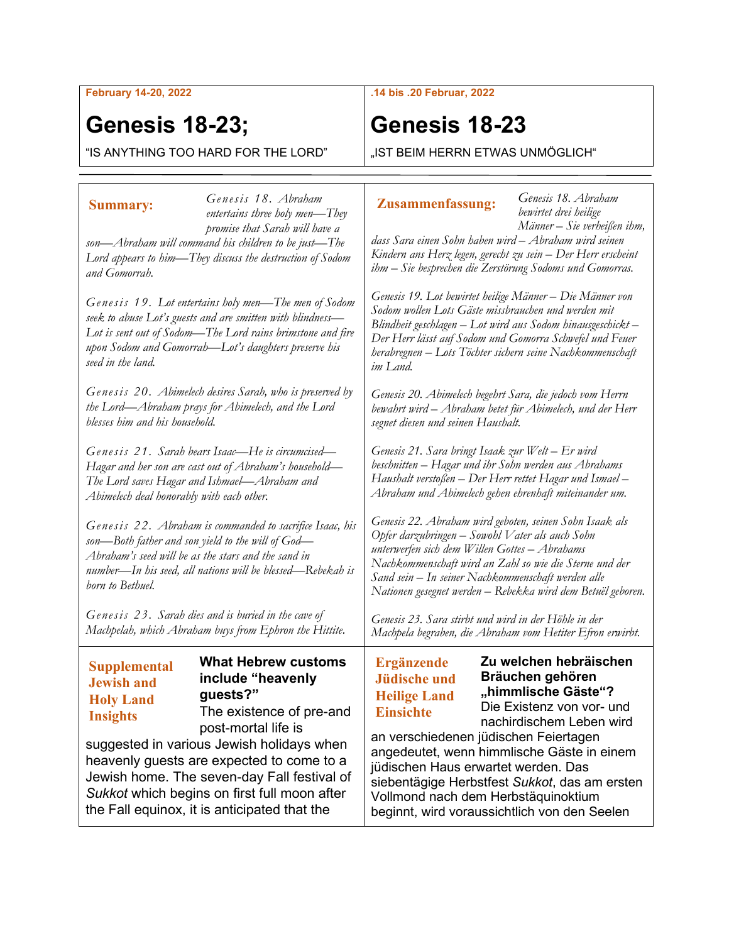**February 14-20, 2022**

## **Genesis 18-23;**

"IS ANYTHING TOO HARD FOR THE LORD"

### **.14 bis .20 Februar, 2022**

## **Genesis 18-23**

"IST BEIM HERRN ETWAS UNMÖGLICH"

| <b>Summary:</b>                                                                                                                                                                                                                                               | Genesis 18. Abraham<br>entertains three holy men-They                                                                                                                                                                                                                                                                                                   | <b>Zusammenfassung:</b>                                                                                                                                                                                                                                                                                                                                   | Genesis 18. Abraham<br>bewirtet drei heilige                                                                               |
|---------------------------------------------------------------------------------------------------------------------------------------------------------------------------------------------------------------------------------------------------------------|---------------------------------------------------------------------------------------------------------------------------------------------------------------------------------------------------------------------------------------------------------------------------------------------------------------------------------------------------------|-----------------------------------------------------------------------------------------------------------------------------------------------------------------------------------------------------------------------------------------------------------------------------------------------------------------------------------------------------------|----------------------------------------------------------------------------------------------------------------------------|
| promise that Sarah will have a<br>son—Abraham will command his children to be just—The<br>Lord appears to him—They discuss the destruction of Sodom<br>and Gomorrah.                                                                                          |                                                                                                                                                                                                                                                                                                                                                         | dass Sara einen Sohn haben wird - Abraham wird seinen<br>Kindern ans Herz legen, gerecht zu sein – Der Herr erscheint<br>ihm - Sie besprechen die Zerstörung Sodoms und Gomorras.                                                                                                                                                                         | Männer – Sie verheißen ihm,                                                                                                |
| Genesis 19. Lot entertains holy men—The men of Sodom<br>seek to abuse Lot's guests and are smitten with blindness-<br>Lot is sent out of Sodom—The Lord rains brimstone and fire<br>upon Sodom and Gomorrah—Lot's daughters preserve his<br>seed in the land. |                                                                                                                                                                                                                                                                                                                                                         | Genesis 19. Lot bewirtet heilige Männer – Die Männer von<br>Sodom wollen Lots Gäste missbrauchen und werden mit<br>Blindheit geschlagen - Lot wird aus Sodom hinausgeschickt -<br>Der Herr lässt auf Sodom und Gomorra Schwefel und Feuer<br>herabregnen – Lots Töchter sichern seine Nachkommenschaft<br>im Land.                                        |                                                                                                                            |
| Genesis 20. Abimelech desires Sarah, who is preserved by<br>the Lord—Abraham prays for Abimelech, and the Lord<br>blesses him and his household.                                                                                                              |                                                                                                                                                                                                                                                                                                                                                         | Genesis 20. Abimelech begehrt Sara, die jedoch vom Herrn<br>bewahrt wird – Abraham betet für Abimelech, und der Herr<br>segnet diesen und seinen Haushalt.                                                                                                                                                                                                |                                                                                                                            |
| Genesis 21. Sarah bears Isaac—He is circumcised—<br>Hagar and her son are cast out of Abraham's household—<br>The Lord saves Hagar and Ishmael—Abraham and<br>Abimelech deal honorably with each other.                                                       |                                                                                                                                                                                                                                                                                                                                                         | Genesis 21. Sara bringt Isaak zur Welt – Er wird<br>beschnitten – Hagar und ihr Sohn werden aus Abrahams<br>Haushalt verstoßen – Der Herr rettet Hagar und Ismael –<br>Abraham und Abimelech gehen ehrenhaft miteinander um.                                                                                                                              |                                                                                                                            |
| Genesis 22. Abraham is commanded to sacrifice Isaac, his<br>son—Both father and son yield to the will of God—<br>Abraham's seed will be as the stars and the sand in<br>number—In his seed, all nations will be blessed—Rebekah is<br>born to Bethuel.        |                                                                                                                                                                                                                                                                                                                                                         | Genesis 22. Abraham wird geboten, seinen Sohn Isaak als<br>Opfer darzubringen – Sowohl Vater als auch Sohn<br>unterwerfen sich dem Willen Gottes - Abrahams<br>Nachkommenschaft wird an Zahl so wie die Sterne und der<br>Sand sein - In seiner Nachkommenschaft werden alle<br>Nationen gesegnet werden – Rebekka wird dem Betuël geboren.               |                                                                                                                            |
| Genesis 23. Sarah dies and is buried in the cave of<br>Machpelah, which Abraham buys from Ephron the Hittite.                                                                                                                                                 |                                                                                                                                                                                                                                                                                                                                                         | Genesis 23. Sara stirbt und wird in der Höhle in der<br>Machpela begraben, die Abraham vom Hetiter Efron erwirbt.                                                                                                                                                                                                                                         |                                                                                                                            |
| <b>Supplemental</b><br><b>Jewish and</b><br><b>Holy Land</b><br><b>Insights</b>                                                                                                                                                                               | <b>What Hebrew customs</b><br>include "heavenly<br>guests?"<br>The existence of pre-and<br>post-mortal life is<br>suggested in various Jewish holidays when<br>heavenly guests are expected to come to a<br>Jewish home. The seven-day Fall festival of<br>Sukkot which begins on first full moon after<br>the Fall equinox, it is anticipated that the | <b>Ergänzende</b><br><b>Jüdische und</b><br><b>Heilige Land</b><br><b>Einsichte</b><br>an verschiedenen jüdischen Feiertagen<br>angedeutet, wenn himmlische Gäste in einem<br>jüdischen Haus erwartet werden. Das<br>siebentägige Herbstfest Sukkot, das am ersten<br>Vollmond nach dem Herbstäquinoktium<br>beginnt, wird voraussichtlich von den Seelen | Zu welchen hebräischen<br>Bräuchen gehören<br>"himmlische Gäste"?<br>Die Existenz von vor- und<br>nachirdischem Leben wird |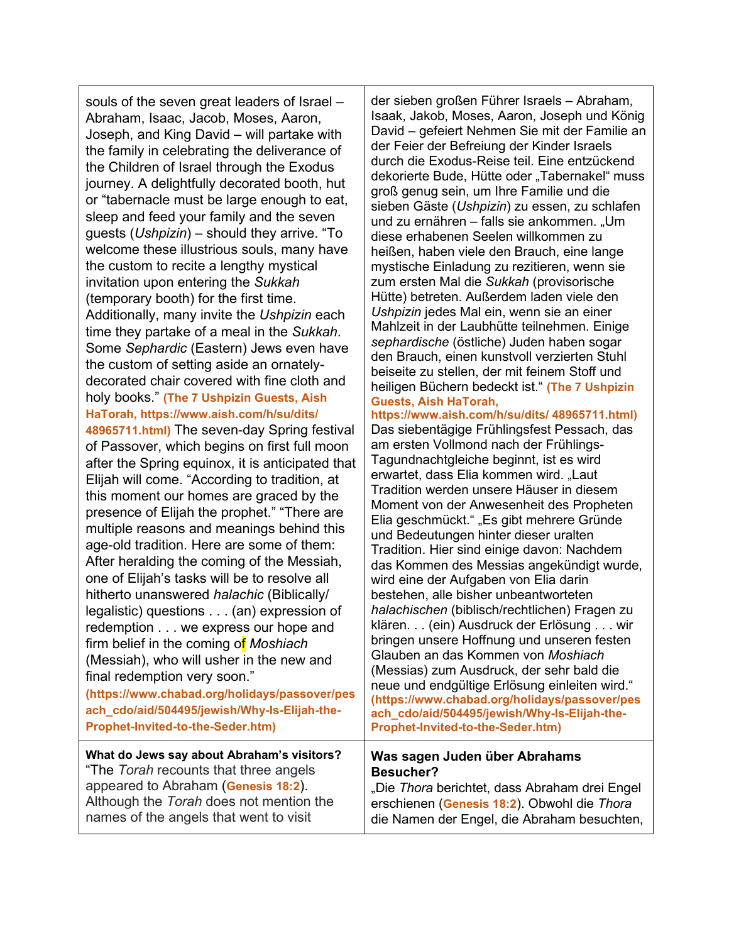souls of the seven great leaders of Israel – Abraham, Isaac, Jacob, Moses, Aaron, Joseph, and King David – will partake with the family in celebrating the deliverance of the Children of Israel through the Exodus journey. A delightfully decorated booth, hut or "tabernacle must be large enough to eat, sleep and feed your family and the seven guests (*Ushpizin*) – should they arrive. "To welcome these illustrious souls, many have the custom to recite a lengthy mystical invitation upon entering the *Sukkah* (temporary booth) for the first time. Additionally, many invite the *Ushpizin* each time they partake of a meal in the *Sukkah*. Some *Sephardic* (Eastern) Jews even have the custom of setting aside an ornatelydecorated chair covered with fine cloth and holy books." **(The 7 Ushpizin Guests, Aish HaTorah, https://www.aish.com/h/su/dits/ 48965711.html)** The seven-day Spring festival of Passover, which begins on first full moon after the Spring equinox, it is anticipated that Elijah will come. "According to tradition, at this moment our homes are graced by the presence of Elijah the prophet." "There are multiple reasons and meanings behind this age-old tradition. Here are some of them: After heralding the coming of the Messiah, one of Elijah's tasks will be to resolve all hitherto unanswered *halachic* (Biblically/ legalistic) questions . . . (an) expression of redemption . . . we express our hope and firm belief in the coming of *[Moshiach](https://www.chabad.org/library/article_cdo/aid/332562/jewish/Moshiach-101.htm)* (Messiah), who will usher in the new and final redemption very soon." **(https://www.chabad.org/holidays/passover/pes ach\_cdo/aid/504495/jewish/Why-Is-Elijah-the-Prophet-Invited-to-the-Seder.htm)** Elia geschmückt." "Es gibt mehrere Gründe **What do Jews say about Abraham's visitors?** "The *Torah* recounts that three angels appeared to Abraham (**Genesis 18:2**). **Besucher?**

der sieben großen Führer Israels – Abraham, Isaak, Jakob, Moses, Aaron, Joseph und König David – gefeiert Nehmen Sie mit der Familie an der Feier der Befreiung der Kinder Israels durch die Exodus-Reise teil. Eine entzückend dekorierte Bude, Hütte oder "Tabernakel" muss groß genug sein, um Ihre Familie und die sieben Gäste (*Ushpizin*) zu essen, zu schlafen und zu ernähren – falls sie ankommen. "Um diese erhabenen Seelen willkommen zu heißen, haben viele den Brauch, eine lange mystische Einladung zu rezitieren, wenn sie zum ersten Mal die *Sukkah* (provisorische Hütte) betreten. Außerdem laden viele den *Ushpizin* jedes Mal ein, wenn sie an einer Mahlzeit in der Laubhütte teilnehmen. Einige *sephardische* (östliche) Juden haben sogar den Brauch, einen kunstvoll verzierten Stuhl beiseite zu stellen, der mit feinem Stoff und heiligen Büchern bedeckt ist." **(The 7 Ushpizin Guests, Aish HaTorah, https://www.aish.com/h/su/dits/ 48965711.html)** Das siebentägige Frühlingsfest Pessach, das am ersten Vollmond nach der Frühlings-Tagundnachtgleiche beginnt, ist es wird erwartet, dass Elia kommen wird. "Laut Tradition werden unsere Häuser in diesem Moment von der Anwesenheit des Propheten

und Bedeutungen hinter dieser uralten Tradition. Hier sind einige davon: Nachdem das Kommen des Messias angekündigt wurde, wird eine der Aufgaben von Elia darin bestehen, alle bisher unbeantworteten *halachischen* (biblisch/rechtlichen) Fragen zu klären. . . (ein) Ausdruck der Erlösung . . . wir bringen unsere Hoffnung und unseren festen Glauben an das Kommen von *Moshiach* (Messias) zum Ausdruck, der sehr bald die neue und endgültige Erlösung einleiten wird." **(https://www.chabad.org/holidays/passover/pes ach\_cdo/aid/504495/jewish/Why-Is-Elijah-the-Prophet-Invited-to-the-Seder.htm)**

# **Was sagen Juden über Abrahams**

Although the *Torah* does not mention the names of the angels that went to visit "Die *Thora* berichtet, dass Abraham drei Engel erschienen (**Genesis 18:2**). Obwohl die *Thora* die Namen der Engel, die Abraham besuchten,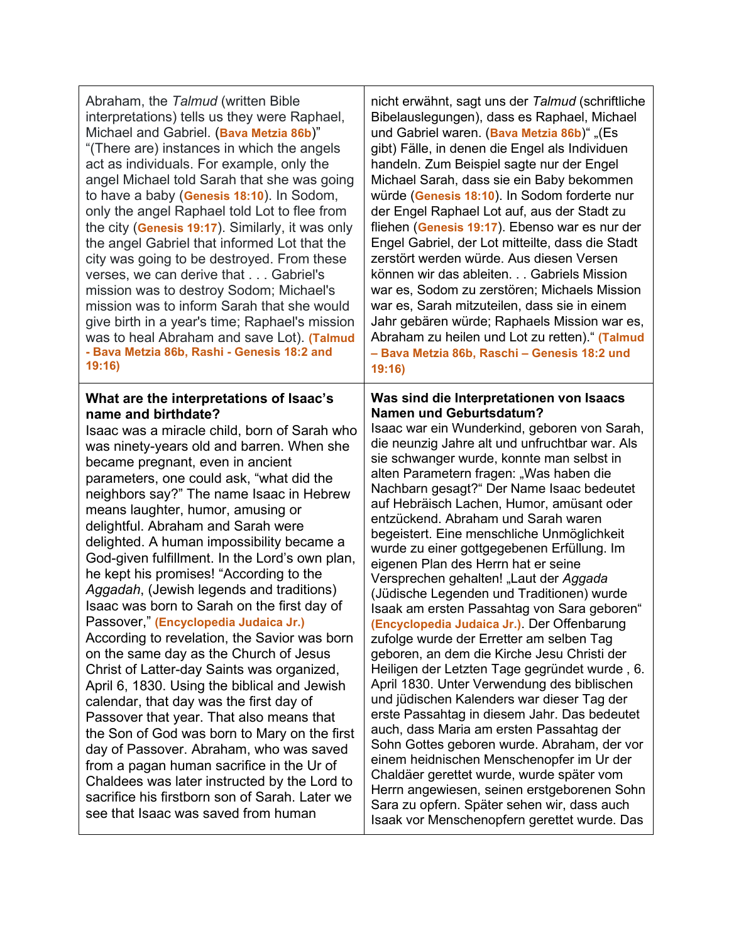| Abraham, the Talmud (written Bible                                                                                                                                                                                                                                                                                                                                                                                                                                                                                                                                                                                                                                                                                                                                                                                                                                                                                                                                                                                                                                                                                                                                                                               | nicht erwähnt, sagt uns der Talmud (schriftliche                                                                                                                                                                                                                                                                                                                                                                                                                                                                                                                                                                                                                                                                                                                                                                                                                                                                                                                                                                                                                                                                                                                                                                                                                                                                                                          |
|------------------------------------------------------------------------------------------------------------------------------------------------------------------------------------------------------------------------------------------------------------------------------------------------------------------------------------------------------------------------------------------------------------------------------------------------------------------------------------------------------------------------------------------------------------------------------------------------------------------------------------------------------------------------------------------------------------------------------------------------------------------------------------------------------------------------------------------------------------------------------------------------------------------------------------------------------------------------------------------------------------------------------------------------------------------------------------------------------------------------------------------------------------------------------------------------------------------|-----------------------------------------------------------------------------------------------------------------------------------------------------------------------------------------------------------------------------------------------------------------------------------------------------------------------------------------------------------------------------------------------------------------------------------------------------------------------------------------------------------------------------------------------------------------------------------------------------------------------------------------------------------------------------------------------------------------------------------------------------------------------------------------------------------------------------------------------------------------------------------------------------------------------------------------------------------------------------------------------------------------------------------------------------------------------------------------------------------------------------------------------------------------------------------------------------------------------------------------------------------------------------------------------------------------------------------------------------------|
| interpretations) tells us they were Raphael,                                                                                                                                                                                                                                                                                                                                                                                                                                                                                                                                                                                                                                                                                                                                                                                                                                                                                                                                                                                                                                                                                                                                                                     | Bibelauslegungen), dass es Raphael, Michael                                                                                                                                                                                                                                                                                                                                                                                                                                                                                                                                                                                                                                                                                                                                                                                                                                                                                                                                                                                                                                                                                                                                                                                                                                                                                                               |
| Michael and Gabriel. (Bava Metzia 86b)"                                                                                                                                                                                                                                                                                                                                                                                                                                                                                                                                                                                                                                                                                                                                                                                                                                                                                                                                                                                                                                                                                                                                                                          | und Gabriel waren. (Bava Metzia 86b)" "(Es                                                                                                                                                                                                                                                                                                                                                                                                                                                                                                                                                                                                                                                                                                                                                                                                                                                                                                                                                                                                                                                                                                                                                                                                                                                                                                                |
| "(There are) instances in which the angels                                                                                                                                                                                                                                                                                                                                                                                                                                                                                                                                                                                                                                                                                                                                                                                                                                                                                                                                                                                                                                                                                                                                                                       | gibt) Fälle, in denen die Engel als Individuen                                                                                                                                                                                                                                                                                                                                                                                                                                                                                                                                                                                                                                                                                                                                                                                                                                                                                                                                                                                                                                                                                                                                                                                                                                                                                                            |
| act as individuals. For example, only the                                                                                                                                                                                                                                                                                                                                                                                                                                                                                                                                                                                                                                                                                                                                                                                                                                                                                                                                                                                                                                                                                                                                                                        | handeln. Zum Beispiel sagte nur der Engel                                                                                                                                                                                                                                                                                                                                                                                                                                                                                                                                                                                                                                                                                                                                                                                                                                                                                                                                                                                                                                                                                                                                                                                                                                                                                                                 |
| angel Michael told Sarah that she was going                                                                                                                                                                                                                                                                                                                                                                                                                                                                                                                                                                                                                                                                                                                                                                                                                                                                                                                                                                                                                                                                                                                                                                      | Michael Sarah, dass sie ein Baby bekommen                                                                                                                                                                                                                                                                                                                                                                                                                                                                                                                                                                                                                                                                                                                                                                                                                                                                                                                                                                                                                                                                                                                                                                                                                                                                                                                 |
| to have a baby (Genesis 18:10). In Sodom,                                                                                                                                                                                                                                                                                                                                                                                                                                                                                                                                                                                                                                                                                                                                                                                                                                                                                                                                                                                                                                                                                                                                                                        | würde (Genesis 18:10). In Sodom forderte nur                                                                                                                                                                                                                                                                                                                                                                                                                                                                                                                                                                                                                                                                                                                                                                                                                                                                                                                                                                                                                                                                                                                                                                                                                                                                                                              |
| only the angel Raphael told Lot to flee from                                                                                                                                                                                                                                                                                                                                                                                                                                                                                                                                                                                                                                                                                                                                                                                                                                                                                                                                                                                                                                                                                                                                                                     | der Engel Raphael Lot auf, aus der Stadt zu                                                                                                                                                                                                                                                                                                                                                                                                                                                                                                                                                                                                                                                                                                                                                                                                                                                                                                                                                                                                                                                                                                                                                                                                                                                                                                               |
| the city (Genesis 19:17). Similarly, it was only                                                                                                                                                                                                                                                                                                                                                                                                                                                                                                                                                                                                                                                                                                                                                                                                                                                                                                                                                                                                                                                                                                                                                                 | fliehen (Genesis 19:17). Ebenso war es nur der                                                                                                                                                                                                                                                                                                                                                                                                                                                                                                                                                                                                                                                                                                                                                                                                                                                                                                                                                                                                                                                                                                                                                                                                                                                                                                            |
| the angel Gabriel that informed Lot that the                                                                                                                                                                                                                                                                                                                                                                                                                                                                                                                                                                                                                                                                                                                                                                                                                                                                                                                                                                                                                                                                                                                                                                     | Engel Gabriel, der Lot mitteilte, dass die Stadt                                                                                                                                                                                                                                                                                                                                                                                                                                                                                                                                                                                                                                                                                                                                                                                                                                                                                                                                                                                                                                                                                                                                                                                                                                                                                                          |
| city was going to be destroyed. From these                                                                                                                                                                                                                                                                                                                                                                                                                                                                                                                                                                                                                                                                                                                                                                                                                                                                                                                                                                                                                                                                                                                                                                       | zerstört werden würde. Aus diesen Versen                                                                                                                                                                                                                                                                                                                                                                                                                                                                                                                                                                                                                                                                                                                                                                                                                                                                                                                                                                                                                                                                                                                                                                                                                                                                                                                  |
| verses, we can derive that Gabriel's                                                                                                                                                                                                                                                                                                                                                                                                                                                                                                                                                                                                                                                                                                                                                                                                                                                                                                                                                                                                                                                                                                                                                                             | können wir das ableiten Gabriels Mission                                                                                                                                                                                                                                                                                                                                                                                                                                                                                                                                                                                                                                                                                                                                                                                                                                                                                                                                                                                                                                                                                                                                                                                                                                                                                                                  |
| mission was to destroy Sodom; Michael's                                                                                                                                                                                                                                                                                                                                                                                                                                                                                                                                                                                                                                                                                                                                                                                                                                                                                                                                                                                                                                                                                                                                                                          | war es, Sodom zu zerstören; Michaels Mission                                                                                                                                                                                                                                                                                                                                                                                                                                                                                                                                                                                                                                                                                                                                                                                                                                                                                                                                                                                                                                                                                                                                                                                                                                                                                                              |
| mission was to inform Sarah that she would                                                                                                                                                                                                                                                                                                                                                                                                                                                                                                                                                                                                                                                                                                                                                                                                                                                                                                                                                                                                                                                                                                                                                                       | war es, Sarah mitzuteilen, dass sie in einem                                                                                                                                                                                                                                                                                                                                                                                                                                                                                                                                                                                                                                                                                                                                                                                                                                                                                                                                                                                                                                                                                                                                                                                                                                                                                                              |
| give birth in a year's time; Raphael's mission                                                                                                                                                                                                                                                                                                                                                                                                                                                                                                                                                                                                                                                                                                                                                                                                                                                                                                                                                                                                                                                                                                                                                                   | Jahr gebären würde; Raphaels Mission war es,                                                                                                                                                                                                                                                                                                                                                                                                                                                                                                                                                                                                                                                                                                                                                                                                                                                                                                                                                                                                                                                                                                                                                                                                                                                                                                              |
| was to heal Abraham and save Lot). (Talmud                                                                                                                                                                                                                                                                                                                                                                                                                                                                                                                                                                                                                                                                                                                                                                                                                                                                                                                                                                                                                                                                                                                                                                       | Abraham zu heilen und Lot zu retten)." (Talmud                                                                                                                                                                                                                                                                                                                                                                                                                                                                                                                                                                                                                                                                                                                                                                                                                                                                                                                                                                                                                                                                                                                                                                                                                                                                                                            |
| - Bava Metzia 86b, Rashi - Genesis 18:2 and                                                                                                                                                                                                                                                                                                                                                                                                                                                                                                                                                                                                                                                                                                                                                                                                                                                                                                                                                                                                                                                                                                                                                                      | - Bava Metzia 86b, Raschi - Genesis 18:2 und                                                                                                                                                                                                                                                                                                                                                                                                                                                                                                                                                                                                                                                                                                                                                                                                                                                                                                                                                                                                                                                                                                                                                                                                                                                                                                              |
| 19:16                                                                                                                                                                                                                                                                                                                                                                                                                                                                                                                                                                                                                                                                                                                                                                                                                                                                                                                                                                                                                                                                                                                                                                                                            | 19:16                                                                                                                                                                                                                                                                                                                                                                                                                                                                                                                                                                                                                                                                                                                                                                                                                                                                                                                                                                                                                                                                                                                                                                                                                                                                                                                                                     |
| What are the interpretations of Isaac's<br>name and birthdate?<br>Isaac was a miracle child, born of Sarah who<br>was ninety-years old and barren. When she<br>became pregnant, even in ancient<br>parameters, one could ask, "what did the<br>neighbors say?" The name Isaac in Hebrew<br>means laughter, humor, amusing or<br>delightful. Abraham and Sarah were<br>delighted. A human impossibility became a<br>God-given fulfillment. In the Lord's own plan,<br>he kept his promises! "According to the<br>Aggadah, (Jewish legends and traditions)<br>Isaac was born to Sarah on the first day of<br>Passover," (Encyclopedia Judaica Jr.)<br>According to revelation, the Savior was born<br>on the same day as the Church of Jesus<br>Christ of Latter-day Saints was organized,<br>April 6, 1830. Using the biblical and Jewish<br>calendar, that day was the first day of<br>Passover that year. That also means that<br>the Son of God was born to Mary on the first<br>day of Passover. Abraham, who was saved<br>from a pagan human sacrifice in the Ur of<br>Chaldees was later instructed by the Lord to<br>sacrifice his firstborn son of Sarah. Later we<br>see that Isaac was saved from human | Was sind die Interpretationen von Isaacs<br>Namen und Geburtsdatum?<br>Isaac war ein Wunderkind, geboren von Sarah,<br>die neunzig Jahre alt und unfruchtbar war. Als<br>sie schwanger wurde, konnte man selbst in<br>alten Parametern fragen: "Was haben die<br>Nachbarn gesagt?" Der Name Isaac bedeutet<br>auf Hebräisch Lachen, Humor, amüsant oder<br>entzückend. Abraham und Sarah waren<br>begeistert. Eine menschliche Unmöglichkeit<br>wurde zu einer gottgegebenen Erfüllung. Im<br>eigenen Plan des Herrn hat er seine<br>Versprechen gehalten! "Laut der <i>Aggada</i><br>(Jüdische Legenden und Traditionen) wurde<br>Isaak am ersten Passahtag von Sara geboren"<br>(Encyclopedia Judaica Jr.). Der Offenbarung<br>zufolge wurde der Erretter am selben Tag<br>geboren, an dem die Kirche Jesu Christi der<br>Heiligen der Letzten Tage gegründet wurde, 6.<br>April 1830. Unter Verwendung des biblischen<br>und jüdischen Kalenders war dieser Tag der<br>erste Passahtag in diesem Jahr. Das bedeutet<br>auch, dass Maria am ersten Passahtag der<br>Sohn Gottes geboren wurde. Abraham, der vor<br>einem heidnischen Menschenopfer im Ur der<br>Chaldäer gerettet wurde, wurde später vom<br>Herrn angewiesen, seinen erstgeborenen Sohn<br>Sara zu opfern. Später sehen wir, dass auch<br>Isaak vor Menschenopfern gerettet wurde. Das |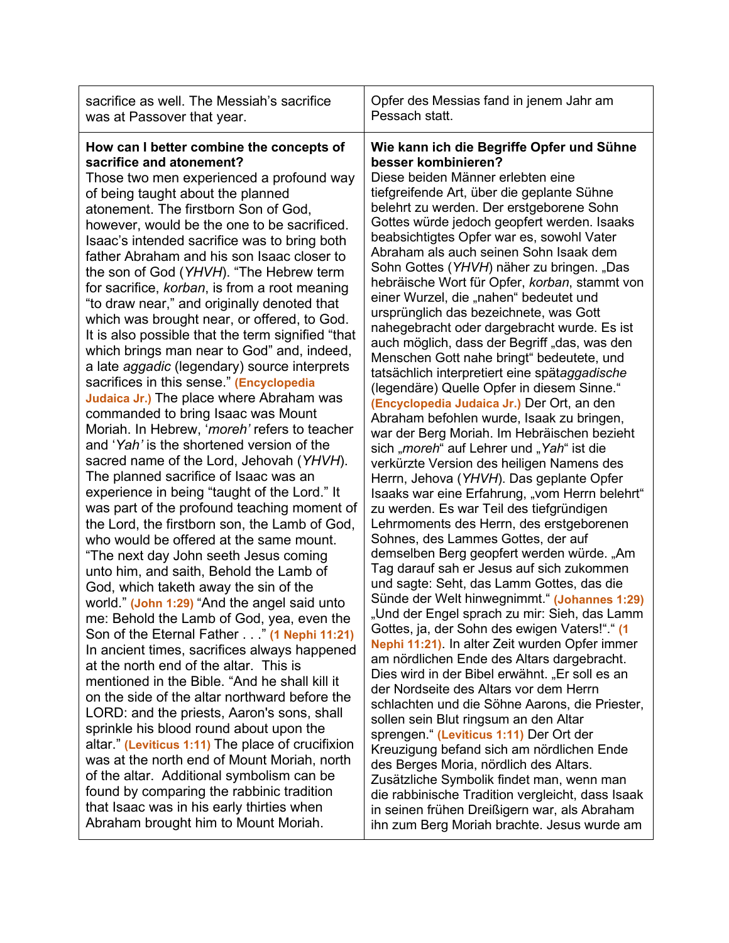| How can I better combine the concepts of<br>besser kombinieren?<br>sacrifice and atonement?<br>Those two men experienced a profound way                                                                                                                                                                                                                                                                                                                                                                                                                                                                                                                                                                                                                                                                                                                                                                                                                                                                                                                                                                                                                                                                                                                                                                                                                                                                                                                                                                                                                                                                                                                                                                                                                                                                                                                                                                                               |                                                                                                                                                                                                                                                                                                                                                                                                                                                                                                                                                                                                                                                                                                                                                                                                                                                                                                                                                                                                                                                                                                                                                                                                                                                                                                                                                                                                                                                                                                                                                                                                                                                                                                                                                                                                                                                                                                                                                                                                                                                                                                                                       |
|---------------------------------------------------------------------------------------------------------------------------------------------------------------------------------------------------------------------------------------------------------------------------------------------------------------------------------------------------------------------------------------------------------------------------------------------------------------------------------------------------------------------------------------------------------------------------------------------------------------------------------------------------------------------------------------------------------------------------------------------------------------------------------------------------------------------------------------------------------------------------------------------------------------------------------------------------------------------------------------------------------------------------------------------------------------------------------------------------------------------------------------------------------------------------------------------------------------------------------------------------------------------------------------------------------------------------------------------------------------------------------------------------------------------------------------------------------------------------------------------------------------------------------------------------------------------------------------------------------------------------------------------------------------------------------------------------------------------------------------------------------------------------------------------------------------------------------------------------------------------------------------------------------------------------------------|---------------------------------------------------------------------------------------------------------------------------------------------------------------------------------------------------------------------------------------------------------------------------------------------------------------------------------------------------------------------------------------------------------------------------------------------------------------------------------------------------------------------------------------------------------------------------------------------------------------------------------------------------------------------------------------------------------------------------------------------------------------------------------------------------------------------------------------------------------------------------------------------------------------------------------------------------------------------------------------------------------------------------------------------------------------------------------------------------------------------------------------------------------------------------------------------------------------------------------------------------------------------------------------------------------------------------------------------------------------------------------------------------------------------------------------------------------------------------------------------------------------------------------------------------------------------------------------------------------------------------------------------------------------------------------------------------------------------------------------------------------------------------------------------------------------------------------------------------------------------------------------------------------------------------------------------------------------------------------------------------------------------------------------------------------------------------------------------------------------------------------------|
| of being taught about the planned<br>atonement. The firstborn Son of God,<br>however, would be the one to be sacrificed.<br>Isaac's intended sacrifice was to bring both<br>father Abraham and his son Isaac closer to<br>the son of God (YHVH). "The Hebrew term<br>for sacrifice, korban, is from a root meaning<br>"to draw near," and originally denoted that<br>which was brought near, or offered, to God.<br>It is also possible that the term signified "that<br>which brings man near to God" and, indeed,<br>a late <i>aggadic</i> (legendary) source interprets<br>sacrifices in this sense." (Encyclopedia<br>Judaica Jr.) The place where Abraham was<br>commanded to bring Isaac was Mount<br>Moriah. In Hebrew, 'moreh' refers to teacher<br>and 'Yah' is the shortened version of the<br>sacred name of the Lord, Jehovah (YHVH).<br>The planned sacrifice of Isaac was an<br>experience in being "taught of the Lord." It<br>was part of the profound teaching moment of<br>the Lord, the firstborn son, the Lamb of God,<br>who would be offered at the same mount.<br>"The next day John seeth Jesus coming<br>unto him, and saith, Behold the Lamb of<br>God, which taketh away the sin of the<br>world." (John 1:29) "And the angel said unto<br>me: Behold the Lamb of God, yea, even the<br>Son of the Eternal Father" (1 Nephi 11:21)<br>In ancient times, sacrifices always happened<br>at the north end of the altar. This is<br>mentioned in the Bible. "And he shall kill it<br>on the side of the altar northward before the<br>LORD: and the priests, Aaron's sons, shall<br>sprinkle his blood round about upon the<br>altar." (Leviticus 1:11) The place of crucifixion<br>was at the north end of Mount Moriah, north<br>of the altar. Additional symbolism can be<br>found by comparing the rabbinic tradition<br>that Isaac was in his early thirties when<br>Abraham brought him to Mount Moriah. | Wie kann ich die Begriffe Opfer und Sühne<br>Diese beiden Männer erlebten eine<br>tiefgreifende Art, über die geplante Sühne<br>belehrt zu werden. Der erstgeborene Sohn<br>Gottes würde jedoch geopfert werden. Isaaks<br>beabsichtigtes Opfer war es, sowohl Vater<br>Abraham als auch seinen Sohn Isaak dem<br>Sohn Gottes (YHVH) näher zu bringen. "Das<br>hebräische Wort für Opfer, korban, stammt von<br>einer Wurzel, die "nahen" bedeutet und<br>ursprünglich das bezeichnete, was Gott<br>nahegebracht oder dargebracht wurde. Es ist<br>auch möglich, dass der Begriff "das, was den<br>Menschen Gott nahe bringt" bedeutete, und<br>tatsächlich interpretiert eine spätaggadische<br>(legendäre) Quelle Opfer in diesem Sinne."<br>(Encyclopedia Judaica Jr.) Der Ort, an den<br>Abraham befohlen wurde, Isaak zu bringen,<br>war der Berg Moriah. Im Hebräischen bezieht<br>sich " <i>moreh</i> " auf Lehrer und "Yah" ist die<br>verkürzte Version des heiligen Namens des<br>Herrn, Jehova (YHVH). Das geplante Opfer<br>Isaaks war eine Erfahrung, "vom Herrn belehrt"<br>zu werden. Es war Teil des tiefgründigen<br>Lehrmoments des Herrn, des erstgeborenen<br>Sohnes, des Lammes Gottes, der auf<br>demselben Berg geopfert werden würde. "Am<br>Tag darauf sah er Jesus auf sich zukommen<br>und sagte: Seht, das Lamm Gottes, das die<br>Sünde der Welt hinwegnimmt." (Johannes 1:29)<br>"Und der Engel sprach zu mir: Sieh, das Lamm<br>Gottes, ja, der Sohn des ewigen Vaters!"." (1<br>Nephi 11:21). In alter Zeit wurden Opfer immer<br>am nördlichen Ende des Altars dargebracht.<br>Dies wird in der Bibel erwähnt. "Er soll es an<br>der Nordseite des Altars vor dem Herrn<br>schlachten und die Söhne Aarons, die Priester,<br>sollen sein Blut ringsum an den Altar<br>sprengen." (Leviticus 1:11) Der Ort der<br>Kreuzigung befand sich am nördlichen Ende<br>des Berges Moria, nördlich des Altars.<br>Zusätzliche Symbolik findet man, wenn man<br>die rabbinische Tradition vergleicht, dass Isaak<br>in seinen frühen Dreißigern war, als Abraham<br>ihn zum Berg Moriah brachte. Jesus wurde am |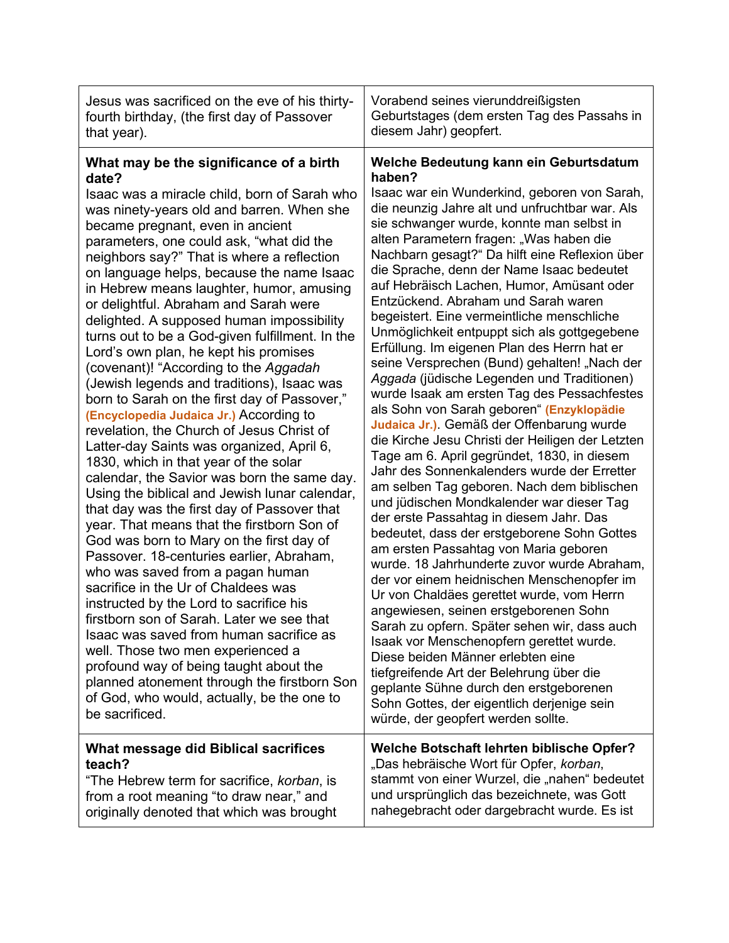| Jesus was sacrificed on the eve of his thirty-                                                                                                                                                                                                                                                                                                                                                                                                                                                                                                                                                                                                                                                                                                                                                                                                                                                                                                                                                                                                                                                                                                                                                                                                                                                                                                                                                                                                                                                                                                                               | Vorabend seines vierunddreißigsten                                                                                                                                                                                                                                                                                                                                                                                                                                                                                                                                                                                                                                                                                                                                                                                                                                                                                                                                                                                                                                                                                                                                                                                                                                                                                                                                                                                                                                                                                                                                                                                                                                                              |
|------------------------------------------------------------------------------------------------------------------------------------------------------------------------------------------------------------------------------------------------------------------------------------------------------------------------------------------------------------------------------------------------------------------------------------------------------------------------------------------------------------------------------------------------------------------------------------------------------------------------------------------------------------------------------------------------------------------------------------------------------------------------------------------------------------------------------------------------------------------------------------------------------------------------------------------------------------------------------------------------------------------------------------------------------------------------------------------------------------------------------------------------------------------------------------------------------------------------------------------------------------------------------------------------------------------------------------------------------------------------------------------------------------------------------------------------------------------------------------------------------------------------------------------------------------------------------|-------------------------------------------------------------------------------------------------------------------------------------------------------------------------------------------------------------------------------------------------------------------------------------------------------------------------------------------------------------------------------------------------------------------------------------------------------------------------------------------------------------------------------------------------------------------------------------------------------------------------------------------------------------------------------------------------------------------------------------------------------------------------------------------------------------------------------------------------------------------------------------------------------------------------------------------------------------------------------------------------------------------------------------------------------------------------------------------------------------------------------------------------------------------------------------------------------------------------------------------------------------------------------------------------------------------------------------------------------------------------------------------------------------------------------------------------------------------------------------------------------------------------------------------------------------------------------------------------------------------------------------------------------------------------------------------------|
| fourth birthday, (the first day of Passover                                                                                                                                                                                                                                                                                                                                                                                                                                                                                                                                                                                                                                                                                                                                                                                                                                                                                                                                                                                                                                                                                                                                                                                                                                                                                                                                                                                                                                                                                                                                  | Geburtstages (dem ersten Tag des Passahs in                                                                                                                                                                                                                                                                                                                                                                                                                                                                                                                                                                                                                                                                                                                                                                                                                                                                                                                                                                                                                                                                                                                                                                                                                                                                                                                                                                                                                                                                                                                                                                                                                                                     |
| that year).                                                                                                                                                                                                                                                                                                                                                                                                                                                                                                                                                                                                                                                                                                                                                                                                                                                                                                                                                                                                                                                                                                                                                                                                                                                                                                                                                                                                                                                                                                                                                                  | diesem Jahr) geopfert.                                                                                                                                                                                                                                                                                                                                                                                                                                                                                                                                                                                                                                                                                                                                                                                                                                                                                                                                                                                                                                                                                                                                                                                                                                                                                                                                                                                                                                                                                                                                                                                                                                                                          |
| What may be the significance of a birth<br>date?<br>Isaac was a miracle child, born of Sarah who<br>was ninety-years old and barren. When she<br>became pregnant, even in ancient<br>parameters, one could ask, "what did the<br>neighbors say?" That is where a reflection<br>on language helps, because the name Isaac<br>in Hebrew means laughter, humor, amusing<br>or delightful. Abraham and Sarah were<br>delighted. A supposed human impossibility<br>turns out to be a God-given fulfillment. In the<br>Lord's own plan, he kept his promises<br>(covenant)! "According to the Aggadah<br>(Jewish legends and traditions), Isaac was<br>born to Sarah on the first day of Passover,"<br>(Encyclopedia Judaica Jr.) According to<br>revelation, the Church of Jesus Christ of<br>Latter-day Saints was organized, April 6,<br>1830, which in that year of the solar<br>calendar, the Savior was born the same day.<br>Using the biblical and Jewish lunar calendar,<br>that day was the first day of Passover that<br>year. That means that the firstborn Son of<br>God was born to Mary on the first day of<br>Passover. 18-centuries earlier, Abraham,<br>who was saved from a pagan human<br>sacrifice in the Ur of Chaldees was<br>instructed by the Lord to sacrifice his<br>firstborn son of Sarah. Later we see that<br>Isaac was saved from human sacrifice as<br>well. Those two men experienced a<br>profound way of being taught about the<br>planned atonement through the firstborn Son<br>of God, who would, actually, be the one to<br>be sacrificed. | Welche Bedeutung kann ein Geburtsdatum<br>haben?<br>Isaac war ein Wunderkind, geboren von Sarah,<br>die neunzig Jahre alt und unfruchtbar war. Als<br>sie schwanger wurde, konnte man selbst in<br>alten Parametern fragen: "Was haben die<br>Nachbarn gesagt?" Da hilft eine Reflexion über<br>die Sprache, denn der Name Isaac bedeutet<br>auf Hebräisch Lachen, Humor, Amüsant oder<br>Entzückend. Abraham und Sarah waren<br>begeistert. Eine vermeintliche menschliche<br>Unmöglichkeit entpuppt sich als gottgegebene<br>Erfüllung. Im eigenen Plan des Herrn hat er<br>seine Versprechen (Bund) gehalten! "Nach der<br>Aggada (jüdische Legenden und Traditionen)<br>wurde Isaak am ersten Tag des Pessachfestes<br>als Sohn von Sarah geboren" (Enzyklopädie<br>Judaica Jr.). Gemäß der Offenbarung wurde<br>die Kirche Jesu Christi der Heiligen der Letzten<br>Tage am 6. April gegründet, 1830, in diesem<br>Jahr des Sonnenkalenders wurde der Erretter<br>am selben Tag geboren. Nach dem biblischen<br>und jüdischen Mondkalender war dieser Tag<br>der erste Passahtag in diesem Jahr. Das<br>bedeutet, dass der erstgeborene Sohn Gottes<br>am ersten Passahtag von Maria geboren<br>wurde. 18 Jahrhunderte zuvor wurde Abraham,<br>der vor einem heidnischen Menschenopfer im<br>Ur von Chaldäes gerettet wurde, vom Herrn<br>angewiesen, seinen erstgeborenen Sohn<br>Sarah zu opfern. Später sehen wir, dass auch<br>Isaak vor Menschenopfern gerettet wurde.<br>Diese beiden Männer erlebten eine<br>tiefgreifende Art der Belehrung über die<br>geplante Sühne durch den erstgeborenen<br>Sohn Gottes, der eigentlich derjenige sein<br>würde, der geopfert werden sollte. |
| What message did Biblical sacrifices                                                                                                                                                                                                                                                                                                                                                                                                                                                                                                                                                                                                                                                                                                                                                                                                                                                                                                                                                                                                                                                                                                                                                                                                                                                                                                                                                                                                                                                                                                                                         | Welche Botschaft lehrten biblische Opfer?                                                                                                                                                                                                                                                                                                                                                                                                                                                                                                                                                                                                                                                                                                                                                                                                                                                                                                                                                                                                                                                                                                                                                                                                                                                                                                                                                                                                                                                                                                                                                                                                                                                       |
| teach?                                                                                                                                                                                                                                                                                                                                                                                                                                                                                                                                                                                                                                                                                                                                                                                                                                                                                                                                                                                                                                                                                                                                                                                                                                                                                                                                                                                                                                                                                                                                                                       | "Das hebräische Wort für Opfer, korban,                                                                                                                                                                                                                                                                                                                                                                                                                                                                                                                                                                                                                                                                                                                                                                                                                                                                                                                                                                                                                                                                                                                                                                                                                                                                                                                                                                                                                                                                                                                                                                                                                                                         |
| "The Hebrew term for sacrifice, korban, is                                                                                                                                                                                                                                                                                                                                                                                                                                                                                                                                                                                                                                                                                                                                                                                                                                                                                                                                                                                                                                                                                                                                                                                                                                                                                                                                                                                                                                                                                                                                   | stammt von einer Wurzel, die "nahen" bedeutet                                                                                                                                                                                                                                                                                                                                                                                                                                                                                                                                                                                                                                                                                                                                                                                                                                                                                                                                                                                                                                                                                                                                                                                                                                                                                                                                                                                                                                                                                                                                                                                                                                                   |
| from a root meaning "to draw near," and                                                                                                                                                                                                                                                                                                                                                                                                                                                                                                                                                                                                                                                                                                                                                                                                                                                                                                                                                                                                                                                                                                                                                                                                                                                                                                                                                                                                                                                                                                                                      | und ursprünglich das bezeichnete, was Gott                                                                                                                                                                                                                                                                                                                                                                                                                                                                                                                                                                                                                                                                                                                                                                                                                                                                                                                                                                                                                                                                                                                                                                                                                                                                                                                                                                                                                                                                                                                                                                                                                                                      |
| originally denoted that which was brought                                                                                                                                                                                                                                                                                                                                                                                                                                                                                                                                                                                                                                                                                                                                                                                                                                                                                                                                                                                                                                                                                                                                                                                                                                                                                                                                                                                                                                                                                                                                    | nahegebracht oder dargebracht wurde. Es ist                                                                                                                                                                                                                                                                                                                                                                                                                                                                                                                                                                                                                                                                                                                                                                                                                                                                                                                                                                                                                                                                                                                                                                                                                                                                                                                                                                                                                                                                                                                                                                                                                                                     |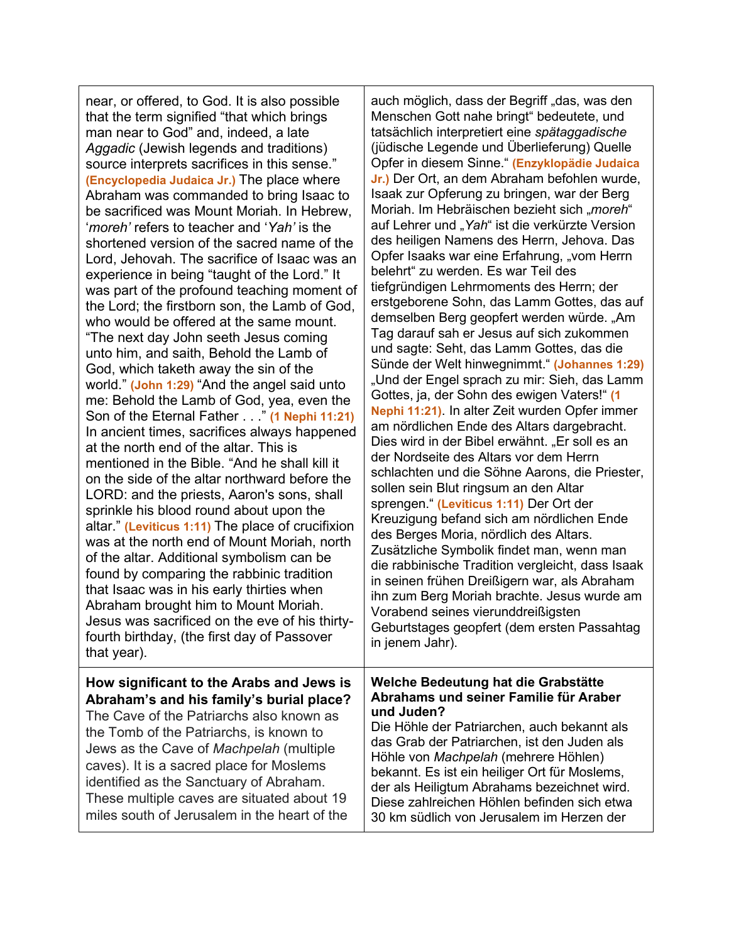near, or offered, to God. It is also possible that the term signified "that which brings man near to God" and, indeed, a late *Aggadic* (Jewish legends and traditions) source interprets sacrifices in this sense." **(Encyclopedia Judaica Jr.)** The place where Abraham was commanded to bring Isaac to be sacrificed was Mount Moriah. In Hebrew, '*moreh'* refers to teacher and '*Yah'* is the shortened version of the sacred name of the Lord, Jehovah. The sacrifice of Isaac was an experience in being "taught of the Lord." It was part of the profound teaching moment of the Lord; the firstborn son, the Lamb of God, who would be offered at the same mount. "The next day John seeth Jesus coming unto him, and saith, Behold the Lamb of God, which taketh away the sin of the world." **(John 1:29)** "And the angel said unto me: Behold the Lamb of God, yea, even the Son of the Eternal Father . . ." **(1 Nephi 11:21)** In ancient times, sacrifices always happened at the north end of the altar. This is mentioned in the Bible. "And he shall kill it on the side of the altar northward before the LORD: and the priests, Aaron's sons, shall sprinkle his blood round about upon the altar." **(Leviticus 1:11)** The place of crucifixion was at the north end of Mount Moriah, north of the altar. Additional symbolism can be found by comparing the rabbinic tradition that Isaac was in his early thirties when Abraham brought him to Mount Moriah. Jesus was sacrificed on the eve of his thirtyfourth birthday, (the first day of Passover that year).

### **How significant to the Arabs and Jews is Abraham's and his family's burial place?**

The Cave of the Patriarchs also known as the Tomb of the Patriarchs, is known to Jews as the Cave of *Machpelah* (multiple caves). It is a sacred place for Moslems identified as the Sanctuary of Abraham. These multiple caves are situated about 19 miles south of Jerusalem in the heart of the auch möglich, dass der Begriff "das, was den Menschen Gott nahe bringt" bedeutete, und tatsächlich interpretiert eine *spätaggadische* (jüdische Legende und Überlieferung) Quelle Opfer in diesem Sinne." **(Enzyklopädie Judaica Jr.)** Der Ort, an dem Abraham befohlen wurde, Isaak zur Opferung zu bringen, war der Berg Moriah. Im Hebräischen bezieht sich "moreh" auf Lehrer und "Yah" ist die verkürzte Version des heiligen Namens des Herrn, Jehova. Das Opfer Isaaks war eine Erfahrung, "vom Herrn belehrt" zu werden. Es war Teil des tiefgründigen Lehrmoments des Herrn; der erstgeborene Sohn, das Lamm Gottes, das auf demselben Berg geopfert werden würde. "Am Tag darauf sah er Jesus auf sich zukommen und sagte: Seht, das Lamm Gottes, das die Sünde der Welt hinwegnimmt." **(Johannes 1:29)** "Und der Engel sprach zu mir: Sieh, das Lamm Gottes, ja, der Sohn des ewigen Vaters!" **(1 Nephi 11:21)**. In alter Zeit wurden Opfer immer am nördlichen Ende des Altars dargebracht. Dies wird in der Bibel erwähnt. "Er soll es an der Nordseite des Altars vor dem Herrn schlachten und die Söhne Aarons, die Priester, sollen sein Blut ringsum an den Altar sprengen." **(Leviticus 1:11)** Der Ort der Kreuzigung befand sich am nördlichen Ende des Berges Moria, nördlich des Altars. Zusätzliche Symbolik findet man, wenn man die rabbinische Tradition vergleicht, dass Isaak in seinen frühen Dreißigern war, als Abraham ihn zum Berg Moriah brachte. Jesus wurde am Vorabend seines vierunddreißigsten Geburtstages geopfert (dem ersten Passahtag in jenem Jahr).

#### **Welche Bedeutung hat die Grabstätte Abrahams und seiner Familie für Araber und Juden?**

Die Höhle der Patriarchen, auch bekannt als das Grab der Patriarchen, ist den Juden als Höhle von *Machpelah* (mehrere Höhlen) bekannt. Es ist ein heiliger Ort für Moslems, der als Heiligtum Abrahams bezeichnet wird. Diese zahlreichen Höhlen befinden sich etwa 30 km südlich von Jerusalem im Herzen der